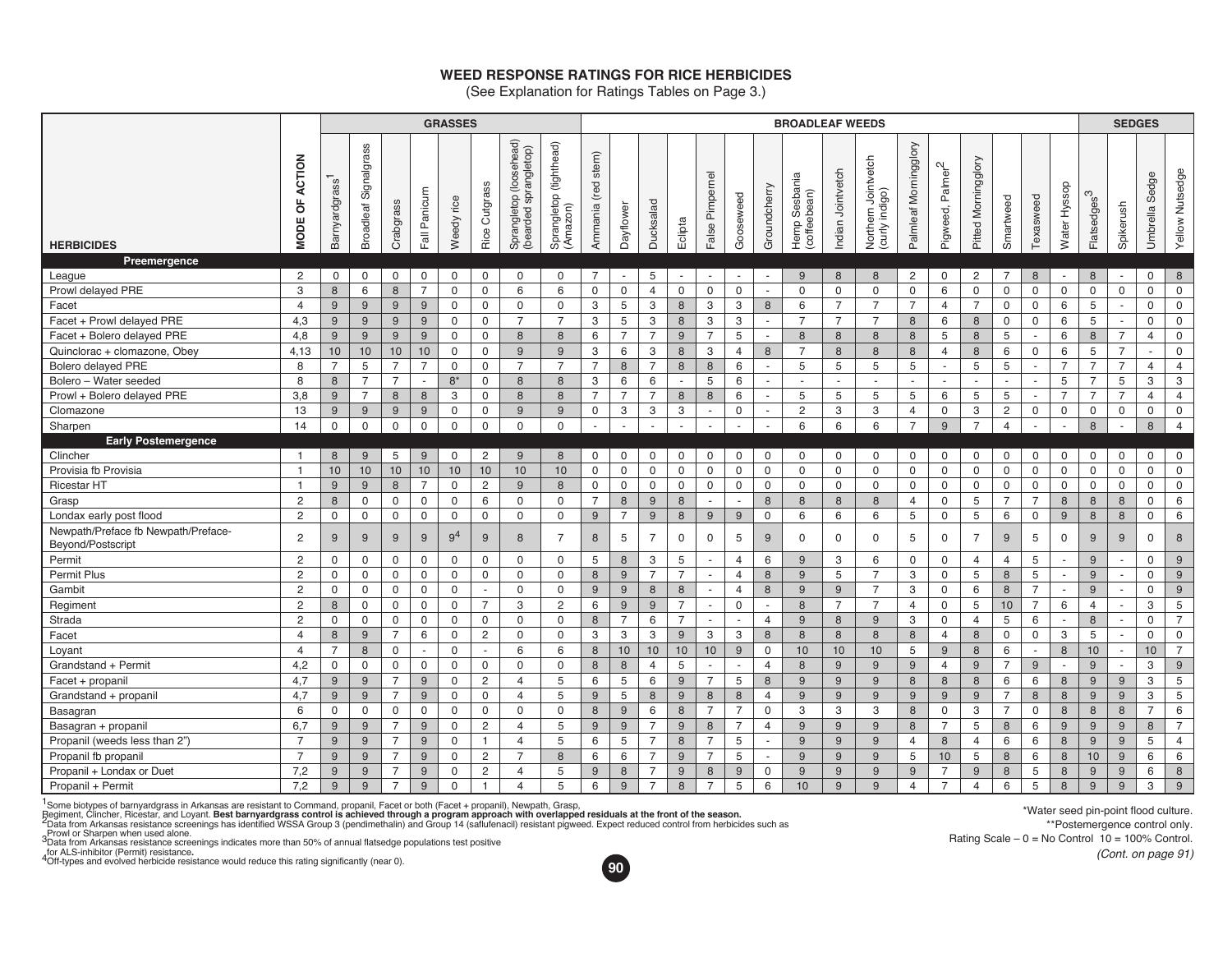## **WEED RESPONSE RATINGS FOR RICE HERBICIDES**

(See Explanation for Ratings Tables on Page 3.)

|                                                          |                                        | <b>GRASSES</b><br><b>BROADLEAF WEEDS</b> |                                 |                |                          |                |                          |                                                        |                                        |                          |                | <b>SEDGES</b>  |                |                           |                          |                          |                                       |                   |                                          |                          |                                 |                          |                          |                          |                          |                         |                |                   |                     |
|----------------------------------------------------------|----------------------------------------|------------------------------------------|---------------------------------|----------------|--------------------------|----------------|--------------------------|--------------------------------------------------------|----------------------------------------|--------------------------|----------------|----------------|----------------|---------------------------|--------------------------|--------------------------|---------------------------------------|-------------------|------------------------------------------|--------------------------|---------------------------------|--------------------------|--------------------------|--------------------------|--------------------------|-------------------------|----------------|-------------------|---------------------|
| <b>HERBICIDES</b>                                        | <b>ACTION</b><br>p<br>ш<br><b>NODI</b> | Barnyardgrass                            | Signalgrass<br><b>Broadleaf</b> | Crabgrass      | Panicum<br>Fall          | rice<br>Weedy  | Cutgrass<br>Rice         | (loosehead)<br>sprangletop)<br>Sprangletop<br>(bearded | (tighthead)<br>Sprangletop<br>(Amazon) | stem)<br>(red<br>Ammania | Dayflower      | Ducksalad      | Eclipta        | False Pimpernel           | Gooseweed                | Groundcherry             | Hemp Sesbania<br>(coffeebean)<br>Hemp | Indian Jointvetch | Northern Jointvetch<br>indigo)<br>(curly | Palmleaf Morningglory    | Palmer <sup>2</sup><br>Pigweed, | Morningglory<br>Pitted   | Smartweed                | Texasweed                | Water Hyssop             | Flatsedges <sup>3</sup> | Spikerush      | Sedge<br>Umbrella | Yellow Nutsedge     |
| Preemergence                                             |                                        |                                          |                                 |                |                          |                |                          |                                                        |                                        |                          |                |                |                |                           |                          |                          |                                       |                   |                                          |                          |                                 |                          |                          |                          |                          |                         |                |                   |                     |
| League                                                   | $\overline{2}$                         | 0                                        | $\mathbf 0$                     | 0              | 0                        | $\mathbf 0$    | $\mathbf 0$              | 0                                                      | $\mathbf 0$                            | $\overline{7}$           |                | 5              | $\blacksquare$ | $\sim$                    | $\overline{\phantom{a}}$ | $\overline{\phantom{a}}$ | 9                                     | 8                 | 8                                        | $\overline{c}$           | $\mathbf 0$                     | $\overline{c}$           | $\overline{7}$           | 8                        | $\overline{\phantom{a}}$ | 8                       | $\sim$         | 0                 | 8                   |
| Prowl delayed PRE                                        | 3                                      | 8                                        | 6                               | 8              | $\overline{7}$           | $\mathbf 0$    | $\mathbf 0$              | 6                                                      | 6                                      | $\mathbf 0$              | $\mathbf 0$    | $\overline{4}$ | $\mathbf 0$    | $\mathbf 0$               | $\mathbf 0$              | $\sim$                   | $\mathbf 0$                           | $\mathbf 0$       | $\mathbf 0$                              | $\mathbf 0$              | 6                               | $\mathbf 0$              | $\mathbf 0$              | 0                        | $\mathsf 0$              | $\mathbf 0$             | 0              | $\mathbf 0$       | $\mathbf 0$         |
| Facet                                                    | $\overline{4}$                         | 9                                        | 9                               | 9              | 9                        | $\mathbf 0$    | $\mathbf 0$              | 0                                                      | $\mathbf 0$                            | 3                        | 5              | 3              | 8              | 3                         | 3                        | 8                        | 6                                     | $\overline{7}$    | $\overline{7}$                           | $\overline{7}$           | $\overline{4}$                  | $\overline{7}$           | $\mathbf 0$              | $\mathbf 0$              | 6                        | 5                       | $\sim$         | $\mathbf 0$       | $\mathsf 0$         |
| Facet + Prowl delayed PRE                                | 4,3                                    | 9                                        | 9                               | 9              | 9                        | $\mathbf 0$    | $\mathsf 0$              | $\overline{7}$                                         | $\overline{7}$                         | 3                        | 5              | 3              | $\,$ 8         | $\ensuremath{\mathsf{3}}$ | 3                        | $\overline{\phantom{a}}$ | $\overline{7}$                        | $\overline{7}$    | $\overline{7}$                           | 8                        | 6                               | 8                        | $\mathbf 0$              | 0                        | 6                        | 5                       |                | 0                 | $\mathsf{O}\xspace$ |
| Facet + Bolero delayed PRE                               | 4,8                                    | 9                                        | 9                               | 9              | 9                        | $\Omega$       | 0                        | 8                                                      | 8                                      | 6                        | $\overline{7}$ | $\overline{7}$ | 9              | $\overline{7}$            | 5                        | $\sim$                   | 8                                     | 8                 | 8                                        | 8                        | 5                               | 8                        | 5                        | $\overline{\phantom{a}}$ | 6                        | 8                       | $\overline{7}$ | $\overline{4}$    | $\mathbf 0$         |
| Quinclorac + clomazone, Obey                             | 4,13                                   | 10                                       | 10                              | 10             | 10                       | $\mathbf 0$    | $\mathbf 0$              | 9                                                      | 9                                      | 3                        | 6              | 3              | 8              | 3                         | $\overline{4}$           | 8                        | $\overline{7}$                        | 8                 | 8                                        | 8                        | $\overline{4}$                  | 8                        | 6                        | $\mathbf 0$              | 6                        | 5                       | $\overline{7}$ | ÷.                | $\mathbf 0$         |
| Bolero delayed PRE                                       | 8                                      | $\overline{7}$                           | 5                               | $\overline{7}$ | $\overline{7}$           | $\mathbf 0$    | $\mathbf 0$              | $\overline{7}$                                         | $\overline{7}$                         | $\overline{7}$           | 8              | $\overline{7}$ | 8              | 8                         | 6                        | $\sim$                   | 5                                     | 5                 | 5                                        | 5                        |                                 | 5                        | 5                        |                          | $\overline{7}$           | $\overline{7}$          | $\overline{7}$ | $\overline{4}$    | $\overline{4}$      |
| Bolero - Water seeded                                    | 8                                      | 8                                        | $\overline{7}$                  | $\overline{7}$ | $\blacksquare$           | $8*$           | $\mathbf 0$              | 8                                                      | 8                                      | 3                        | 6              | 6              | $\sim$         | 5                         | 6                        | $\sim$                   | $\overline{\phantom{a}}$              | $\blacksquare$    | $\sim$                                   | $\overline{\phantom{a}}$ | $\sim$                          | $\overline{\phantom{a}}$ | $\overline{\phantom{a}}$ | $\blacksquare$           | 5                        | $\overline{7}$          | 5              | 3                 | 3                   |
| Prowl + Bolero delayed PRE                               | 3.8                                    | 9                                        | $\overline{7}$                  | 8              | 8                        | 3              | $\mathbf 0$              | 8                                                      | 8                                      | $\overline{7}$           | $\overline{7}$ | $\overline{7}$ | 8              | 8                         | 6                        | $\sim$                   | 5                                     | 5                 | 5                                        | 5                        | 6                               | 5                        | 5                        | $\overline{\phantom{a}}$ | $\overline{7}$           | $\overline{7}$          | $\overline{7}$ | $\overline{4}$    | $\overline{4}$      |
| Clomazone                                                | 13                                     | 9                                        | 9                               | 9              | 9                        | $\mathbf 0$    | $\mathbf 0$              | 9                                                      | 9                                      | $\mathbf 0$              | 3              | 3              | 3              | $\overline{\phantom{a}}$  | $\mathbf 0$              | $\overline{\phantom{a}}$ | $\overline{2}$                        | 3                 | 3                                        | $\overline{4}$           | $\mathbf 0$                     | 3                        | $\overline{c}$           | 0                        | $\mathbf 0$              | $\mathbf 0$             | $\mathbf 0$    | $\mathbf 0$       | $\mathsf{O}\xspace$ |
| Sharpen                                                  | 14                                     | $\mathsf{O}$                             | $\mathbf 0$                     | $\mathbf 0$    | $\mathbf 0$              | $\mathsf 0$    | $\mathsf{O}\xspace$      | 0                                                      | $\Omega$                               |                          |                |                |                |                           |                          |                          | 6                                     | 6                 | 6                                        | $\overline{7}$           | 9                               | $\overline{7}$           | $\overline{4}$           |                          |                          | 8                       |                | 8                 | $\overline{4}$      |
| <b>Early Postemergence</b>                               |                                        |                                          |                                 |                |                          |                |                          |                                                        |                                        |                          |                |                |                |                           |                          |                          |                                       |                   |                                          |                          |                                 |                          |                          |                          |                          |                         |                |                   |                     |
| Clincher                                                 | $\overline{1}$                         | 8                                        | 9                               | 5              | 9                        | $\mathbf 0$    | $\overline{2}$           | 9                                                      | 8                                      | 0                        | 0              | $\mathbf 0$    | $\mathbf 0$    | $\mathbf 0$               | $\mathbf 0$              | 0                        | 0                                     | 0                 | 0                                        | 0                        | 0                               | 0                        | 0                        | 0                        | $\mathbf 0$              | 0                       | $\mathbf 0$    | 0                 | $\mathsf 0$         |
| Provisia fb Provisia                                     | $\overline{1}$                         | 10                                       | 10                              | 10             | 10                       | 10             | 10                       | 10                                                     | 10                                     | $\mathbf 0$              | $\mathbf 0$    | $\mathbf 0$    | $\mathbf 0$    | $\mathsf 0$               | $\mathbf 0$              | 0                        | $\mathbf 0$                           | $\mathsf 0$       | $\mathbf 0$                              | 0                        | $\mathbf 0$                     | $\mathsf 0$              | $\mathbf 0$              | $\mathsf 0$              | $\mathsf 0$              | $\mathbf 0$             | $\mathsf 0$    | $\mathbf 0$       | $\mathsf 0$         |
| <b>Ricestar HT</b>                                       | $\overline{1}$                         | 9                                        | 9                               | 8              | $\overline{7}$           | $\mathbf 0$    | $\mathbf{2}^{\prime}$    | 9                                                      | 8                                      | $\mathbf 0$              | $\mathbf 0$    | $\mathbf 0$    | $\mathbf 0$    | $\mathbf 0$               | $\mathsf{O}$             | $\mathbf 0$              | $\mathbf{0}$                          | $\mathbf 0$       | $\mathbf 0$                              | 0                        | $\mathbf 0$                     | $\mathbf 0$              | $\mathbf 0$              | $\mathbf 0$              | $\mathbf 0$              | 0                       | $\mathsf{O}$   | $\mathbf 0$       | $\mathsf 0$         |
| Grasp                                                    | $\overline{c}$                         | 8                                        | $\mathbf 0$                     | 0              | 0                        | $\mathbf 0$    | 6                        | 0                                                      | $\mathbf 0$                            | $\overline{7}$           | $\,8\,$        | 9              | $\,8\,$        | $\sim$                    | $\mathbf{r}$             | 8                        | 8                                     | 8                 | 8                                        | $\overline{4}$           | 0                               | 5                        | $\overline{7}$           | $\overline{7}$           | $\,8\,$                  | $\bf 8$                 | 8              | $\mathsf{O}$      | 6                   |
| Londax early post flood                                  | $\overline{2}$                         | $\mathbf 0$                              | $\mathbf 0$                     | $\mathbf 0$    | $\mathbf 0$              | $\mathbf 0$    | $\mathbf 0$              | 0                                                      | $\mathbf 0$                            | 9                        | $\overline{7}$ | 9              | 8              | 9                         | $9\,$                    | $\mathbf 0$              | 6                                     | 6                 | 6                                        | 5                        | $\mathbf 0$                     | 5                        | 6                        | $\mathbf 0$              | $9$                      | 8                       | 8              | $\mathbf 0$       | 6                   |
| Newpath/Preface fb Newpath/Preface-<br>Beyond/Postscript | $\overline{2}$                         | 9                                        | 9                               | 9              | 9                        | 9 <sup>4</sup> | 9                        | 8                                                      | $\overline{7}$                         | 8                        | 5              | $\overline{7}$ | $\mathbf 0$    | $\mathbf 0$               | 5                        | 9                        | $\Omega$                              | $\mathbf 0$       | $\mathbf 0$                              | 5                        | $\mathbf 0$                     | $\overline{7}$           | 9                        | 5                        | $\mathbf 0$              | 9                       | 9              | $\mathbf 0$       | 8                   |
| Permit                                                   | $\overline{2}$                         | $\mathsf{O}\xspace$                      | $\mathbf 0$                     | $\mathbf 0$    | $\mathbf 0$              | $\mathbf 0$    | $\mathbf 0$              | $\mathbf 0$                                            | $\mathbf 0$                            | 5                        | 8              | 3              | 5              | $\sim$                    | $\overline{4}$           | 6                        | 9                                     | 3                 | 6                                        | $\mathbf 0$              | $\mathbf 0$                     | $\overline{4}$           | $\overline{4}$           | 5                        | $\sim$                   | 9                       | $\sim$         | 0                 | $9\,$               |
| Permit Plus                                              | $\overline{2}$                         | 0                                        | $\mathbf 0$                     | 0              | 0                        | $\mathbf 0$    | $\overline{0}$           | 0                                                      | $\Omega$                               | 8                        | 9              | $\overline{7}$ | $\overline{7}$ | $\overline{\phantom{a}}$  | $\overline{4}$           | 8                        | 9                                     | 5                 | $\overline{7}$                           | 3                        | 0                               | 5                        | 8                        | 5                        | $\overline{\phantom{a}}$ | 9                       | $\overline{a}$ | $\mathbf 0$       | 9                   |
| Gambit                                                   | $\overline{2}$                         | 0                                        | $\mathbf 0$                     | $\mathbf 0$    | $\mathbf 0$              | $\mathbf 0$    | $\overline{\phantom{a}}$ | 0                                                      | $\mathbf 0$                            | 9                        | $9$            | 8              | $\,$ 8         | $\sim$                    | $\overline{4}$           | 8                        | 9                                     | 9                 | $\overline{7}$                           | 3                        | $\mathsf 0$                     | 6                        | $\,8\,$                  | $\overline{7}$           | $\overline{\phantom{a}}$ | 9                       | $\sim$         | 0                 | $9\,$               |
| Regiment                                                 | $\overline{2}$                         | $\bf{8}$                                 | $\mathbf 0$                     | $\mathsf 0$    | $\mathsf 0$              | $\mathsf 0$    | $\overline{7}$           | 3                                                      | $\overline{2}$                         | 6                        | 9              | 9              | $\overline{7}$ | $\sim$                    | $\mathbf 0$              | $\sim$                   | 8                                     | $\overline{7}$    | $\overline{7}$                           | $\overline{4}$           | $\mathsf 0$                     | 5                        | 10                       | $\overline{7}$           | 6                        | $\overline{4}$          | $\sim$         | 3                 | 5                   |
| Strada                                                   | $\overline{2}$                         | 0                                        | $\mathbf 0$                     | 0              | 0                        | $\mathbf 0$    | $\mathbf 0$              | 0                                                      | $\Omega$                               | 8                        | $\overline{7}$ | 6              | $\overline{7}$ | $\overline{a}$            | $\mathbf{r}$             | $\overline{4}$           | 9                                     | 8                 | 9                                        | 3                        | 0                               | $\overline{4}$           | 5                        | 6                        | $\overline{a}$           | 8                       | $\overline{a}$ | $\mathbf 0$       | $\overline{7}$      |
| Facet                                                    | $\overline{4}$                         | 8                                        | 9                               | $\overline{7}$ | 6                        | $\mathbf 0$    | $\overline{c}$           | 0                                                      | $\Omega$                               | 3                        | 3              | 3              | $9\,$          | 3                         | 3                        | $\bf 8$                  | 8                                     | 8                 | $\,8\,$                                  | $\,8\,$                  | 4                               | 8                        | $\mathbf 0$              | 0                        | 3                        | 5                       |                | 0                 | $\mathsf 0$         |
| Loyant                                                   | $\overline{4}$                         | $\overline{7}$                           | 8                               | $\mathbf 0$    | $\overline{\phantom{a}}$ | $\mathbf 0$    | $\sim$                   | 6                                                      | 6                                      | 8                        | 10             | 10             | 10             | 10                        | $9\,$                    | $\mathsf 0$              | 10                                    | $10$              | 10                                       | 5                        | 9                               | $\,8\,$                  | 6                        | $\sim$                   | $\boldsymbol{8}$         | $10$                    | $\sim$         | $10$              | $\overline{7}$      |
| Grandstand + Permit                                      | 4,2                                    | 0                                        | $\mathbf 0$                     | 0              | 0                        | $\mathbf 0$    | $\mathbf 0$              | 0                                                      | $\mathbf 0$                            | 8                        | 8              | $\overline{4}$ | 5              | $\overline{a}$            | $\mathbf{r}$             | $\overline{4}$           | 8                                     | 9                 | 9                                        | 9                        | $\overline{4}$                  | 9                        | $\overline{7}$           | 9                        | $\overline{a}$           | 9                       | $\overline{a}$ | 3                 | 9                   |
| Facet + propanil                                         | 4,7                                    | 9                                        | 9                               | $\overline{7}$ | 9                        | $\mathbf 0$    | 2                        | $\overline{4}$                                         | 5                                      | 6                        | 5              | 6              | 9              | $\overline{7}$            | 5                        | 8                        | 9                                     | $9$               | 9                                        | 8                        | 8                               | 8                        | 6                        | 6                        | $\,8\,$                  | 9                       | 9              | 3                 | 5                   |
| Grandstand + propanil                                    | 4,7                                    | $9\,$                                    | 9                               | $\overline{7}$ | 9                        | $\mathbf 0$    | $\mathbf 0$              | $\overline{4}$                                         | 5                                      | $9$                      | 5              | 8              | 9              | 8                         | $\,8\,$                  | $\overline{4}$           | 9                                     | 9                 | 9                                        | 9                        | 9                               | 9                        | $\overline{7}$           | 8                        | 8                        | 9                       | 9              | 3                 | 5                   |
| Basagran                                                 | 6                                      | 0                                        | $\mathbf 0$                     | $\mathbf 0$    | $\mathbf 0$              | $\mathbf 0$    | $\mathbf 0$              | 0                                                      | $\mathbf 0$                            | 8                        | 9              | 6              | 8              | $\overline{7}$            | $\overline{7}$           | $\mathbf 0$              | 3                                     | 3                 | 3                                        | 8                        | $\Omega$                        | 3                        | $\overline{7}$           | $\mathbf 0$              | 8                        | 8                       | 8              | $\overline{7}$    | 6                   |
| Basagran + propanil                                      | 6,7                                    | 9                                        | 9                               | $\overline{7}$ | 9                        | 0              | 2                        | $\overline{4}$                                         | 5                                      | 9                        | $9$            | $\overline{7}$ | 9              | 8                         | $\overline{7}$           | $\overline{4}$           | 9                                     | $9$               | 9                                        | 8                        | $\overline{7}$                  | 5                        | $\boldsymbol{8}$         | 6                        | $9$                      | 9                       | $9\,$          | 8                 | $\overline{7}$      |
| Propanil (weeds less than 2")                            | $\overline{7}$                         | 9                                        | 9                               | $\overline{7}$ | 9                        | $\mathbf 0$    | $\overline{1}$           | $\overline{4}$                                         | 5                                      | 6                        | 5              | $\overline{7}$ | 8              | $\overline{7}$            | 5                        | $\sim$                   | 9                                     | 9                 | 9                                        | $\overline{4}$           | 8                               | $\overline{4}$           | 6                        | 6                        | 8                        | 9                       | 9              | 5                 | $\overline{4}$      |
| Propanil fb propanil                                     | $\overline{7}$                         | 9                                        | 9                               | $\overline{7}$ | 9                        | $\mathbf 0$    | $\overline{2}$           | $\overline{7}$                                         | 8                                      | 6                        | 6              | $\overline{7}$ | 9              | $\overline{7}$            | 5                        | $\sim$                   | 9                                     | $9$               | 9                                        | 5                        | 10                              | 5                        | 8                        | 6                        | 8                        | 10                      | 9              | 6                 | $\,6\,$             |
| Propanil + Londax or Duet                                | 7,2                                    | 9                                        | 9                               | $\overline{7}$ | 9                        | $\mathbf 0$    | $\overline{2}$           | $\overline{4}$                                         | 5                                      | 9                        | 8              | $\overline{7}$ | 9              | 8                         | 9                        | $\mathbf 0$              | 9                                     | 9                 | 9                                        | 9                        | $\overline{7}$                  | 9                        | 8                        | 5                        | 8                        | 9                       | 9              | 6                 | 8                   |
| Propanil + Permit                                        | 7,2                                    | 9                                        | 9                               | $\overline{7}$ | 9                        | 0              | $\overline{1}$           | $\overline{4}$                                         | 5                                      | 6                        | 9              | $\overline{7}$ | 8              | $\overline{7}$            | 5                        | 6                        | 10 <sup>10</sup>                      | 9                 | 9                                        | $\overline{4}$           | $\overline{7}$                  | $\overline{4}$           | 6                        | 5                        | 8                        | 9                       | 9              | 3                 | 9                   |

1 Some biotypes of barnyardgrass in Arkansas are resistant to Command, propanil, Facet or both (Facet + propanil), Newpath, Grasp,

Regiment, Clincher, Ricestar, and Loyant. **Best barnyardgrass control is achieved through a program approach with overlapped residuals at the front of the season.<br><sup>2</sup>Data from Arkansas resistance screenings has identified** 

<sub>a</sub>Prowl or Sharpen when used alone.<br><sup>3</sup>Data from Arkansas resistance screenings indicates more than 50% of annual flatsedge populations test positive

<sub>1</sub>for ALS-inhibitor (Permit) resistance**.**<br><sup>4</sup>Off-types and evolved herbicide resistance would reduce this rating significantly (near 0).



\*Water seed pin-point flood culture. \*\*Postemergence control only. Rating Scale  $-0 = No$  Control  $10 = 100\%$  Control. *(Cont. on page 91)*